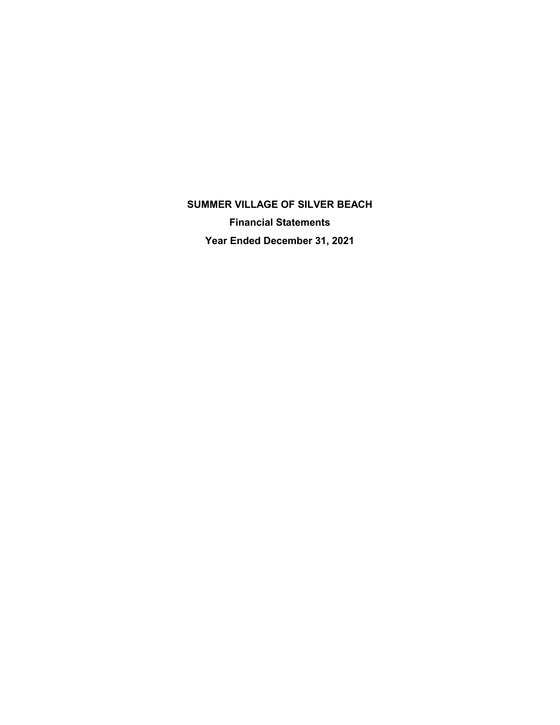**SUMMER VILLAGE OF SILVER BEACH Financial Statements Year Ended December 31, 2021**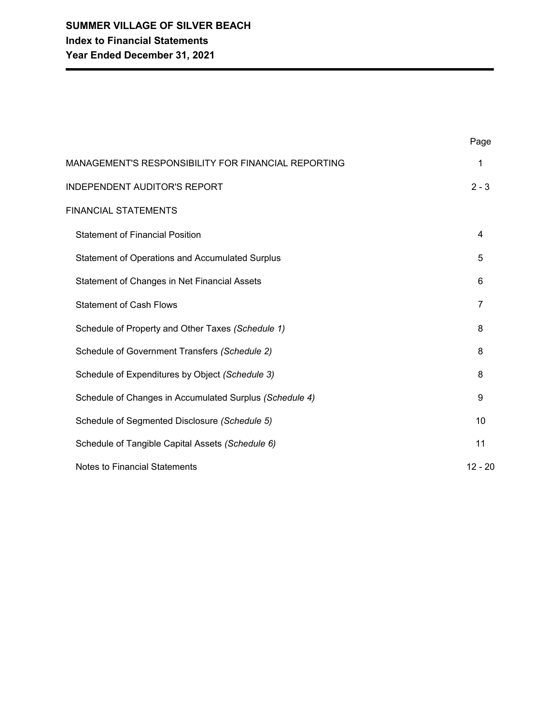| MANAGEMENT'S RESPONSIBILITY FOR FINANCIAL REPORTING     | 1         |
|---------------------------------------------------------|-----------|
| <b>INDEPENDENT AUDITOR'S REPORT</b>                     | $2 - 3$   |
| <b>FINANCIAL STATEMENTS</b>                             |           |
| <b>Statement of Financial Position</b>                  | 4         |
| Statement of Operations and Accumulated Surplus         | 5         |
| Statement of Changes in Net Financial Assets            | 6         |
| <b>Statement of Cash Flows</b>                          | 7         |
| Schedule of Property and Other Taxes (Schedule 1)       | 8         |
| Schedule of Government Transfers (Schedule 2)           | 8         |
| Schedule of Expenditures by Object (Schedule 3)         | 8         |
| Schedule of Changes in Accumulated Surplus (Schedule 4) | 9         |
| Schedule of Segmented Disclosure (Schedule 5)           | 10        |
| Schedule of Tangible Capital Assets (Schedule 6)        | 11        |
| <b>Notes to Financial Statements</b>                    | $12 - 20$ |

Page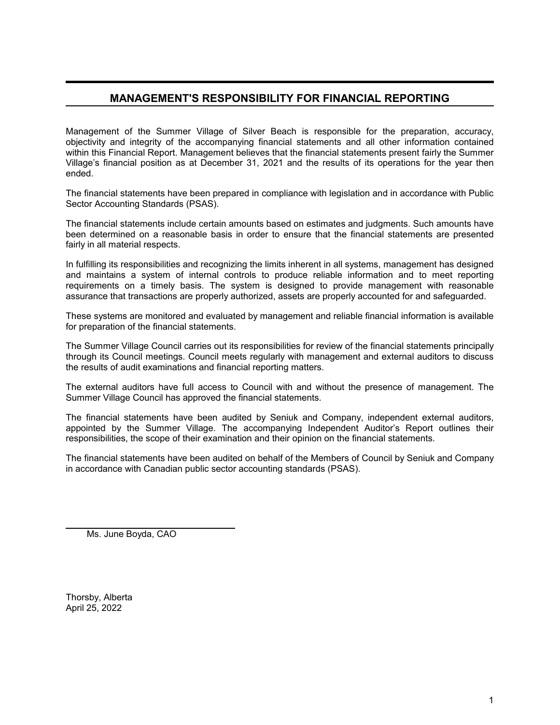# **MANAGEMENT'S RESPONSIBILITY FOR FINANCIAL REPORTING**

Management of the Summer Village of Silver Beach is responsible for the preparation, accuracy, objectivity and integrity of the accompanying financial statements and all other information contained within this Financial Report. Management believes that the financial statements present fairly the Summer Village's financial position as at December 31, 2021 and the results of its operations for the year then ended.

The financial statements have been prepared in compliance with legislation and in accordance with Public Sector Accounting Standards (PSAS).

The financial statements include certain amounts based on estimates and judgments. Such amounts have been determined on a reasonable basis in order to ensure that the financial statements are presented fairly in all material respects.

In fulfilling its responsibilities and recognizing the limits inherent in all systems, management has designed and maintains a system of internal controls to produce reliable information and to meet reporting requirements on a timely basis. The system is designed to provide management with reasonable assurance that transactions are properly authorized, assets are properly accounted for and safeguarded.

These systems are monitored and evaluated by management and reliable financial information is available for preparation of the financial statements.

The Summer Village Council carries out its responsibilities for review of the financial statements principally through its Council meetings. Council meets regularly with management and external auditors to discuss the results of audit examinations and financial reporting matters.

The external auditors have full access to Council with and without the presence of management. The Summer Village Council has approved the financial statements.

The financial statements have been audited by Seniuk and Company, independent external auditors, appointed by the Summer Village. The accompanying Independent Auditor's Report outlines their responsibilities, the scope of their examination and their opinion on the financial statements.

The financial statements have been audited on behalf of the Members of Council by Seniuk and Company in accordance with Canadian public sector accounting standards (PSAS).

Ms. June Boyda, CAO

Thorsby, Alberta April 25, 2022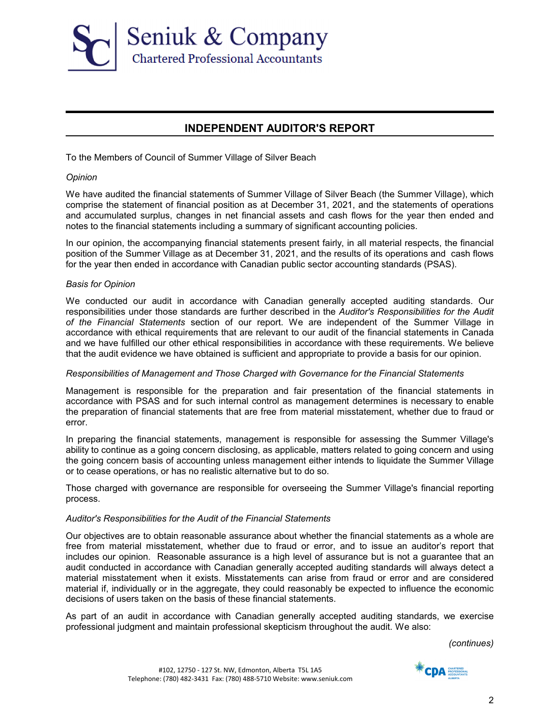

# **INDEPENDENT AUDITOR'S REPORT**

To the Members of Council of Summer Village of Silver Beach

#### *Opinion*

We have audited the financial statements of Summer Village of Silver Beach (the Summer Village), which comprise the statement of financial position as at December 31, 2021, and the statements of operations and accumulated surplus, changes in net financial assets and cash flows for the year then ended and notes to the financial statements including a summary of significant accounting policies.

In our opinion, the accompanying financial statements present fairly, in all material respects, the financial position of the Summer Village as at December 31, 2021, and the results of its operations and cash flows for the year then ended in accordance with Canadian public sector accounting standards (PSAS).

#### *Basis for Opinion*

We conducted our audit in accordance with Canadian generally accepted auditing standards. Our responsibilities under those standards are further described in the *Auditor's Responsibilities for the Audit of the Financial Statements* section of our report. We are independent of the Summer Village in accordance with ethical requirements that are relevant to our audit of the financial statements in Canada and we have fulfilled our other ethical responsibilities in accordance with these requirements. We believe that the audit evidence we have obtained is sufficient and appropriate to provide a basis for our opinion.

#### *Responsibilities of Management and Those Charged with Governance for the Financial Statements*

Management is responsible for the preparation and fair presentation of the financial statements in accordance with PSAS and for such internal control as management determines is necessary to enable the preparation of financial statements that are free from material misstatement, whether due to fraud or error.

In preparing the financial statements, management is responsible for assessing the Summer Village's ability to continue as a going concern disclosing, as applicable, matters related to going concern and using the going concern basis of accounting unless management either intends to liquidate the Summer Village or to cease operations, or has no realistic alternative but to do so.

Those charged with governance are responsible for overseeing the Summer Village's financial reporting process.

#### *Auditor's Responsibilities for the Audit of the Financial Statements*

Our objectives are to obtain reasonable assurance about whether the financial statements as a whole are free from material misstatement, whether due to fraud or error, and to issue an auditor's report that includes our opinion. Reasonable assurance is a high level of assurance but is not a guarantee that an audit conducted in accordance with Canadian generally accepted auditing standards will always detect a material misstatement when it exists. Misstatements can arise from fraud or error and are considered material if, individually or in the aggregate, they could reasonably be expected to influence the economic decisions of users taken on the basis of these financial statements.

As part of an audit in accordance with Canadian generally accepted auditing standards, we exercise professional judgment and maintain professional skepticism throughout the audit. We also:

*(continues)*

#102, 12750 - 127 St. NW, Edmonton, Alberta T5L 1A5 Telephone: (780) 482-3431 Fax: (780) 488-5710 Website: www.seniuk.com

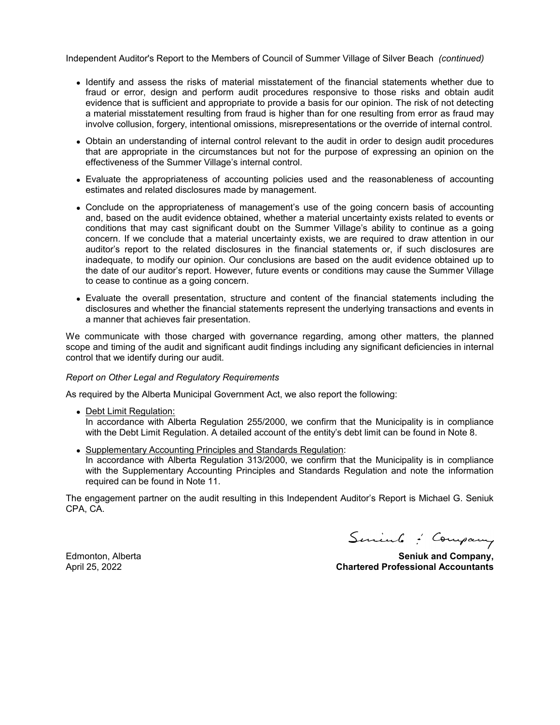Independent Auditor's Report to the Members of Council of Summer Village of Silver Beach *(continued)*

- Identify and assess the risks of material misstatement of the financial statements whether due to fraud or error, design and perform audit procedures responsive to those risks and obtain audit evidence that is sufficient and appropriate to provide a basis for our opinion. The risk of not detecting a material misstatement resulting from fraud is higher than for one resulting from error as fraud may involve collusion, forgery, intentional omissions, misrepresentations or the override of internal control.
- Obtain an understanding of internal control relevant to the audit in order to design audit procedures that are appropriate in the circumstances but not for the purpose of expressing an opinion on the effectiveness of the Summer Village's internal control.
- Evaluate the appropriateness of accounting policies used and the reasonableness of accounting estimates and related disclosures made by management.
- Conclude on the appropriateness of management's use of the going concern basis of accounting and, based on the audit evidence obtained, whether a material uncertainty exists related to events or conditions that may cast significant doubt on the Summer Village's ability to continue as a going concern. If we conclude that a material uncertainty exists, we are required to draw attention in our auditor's report to the related disclosures in the financial statements or, if such disclosures are inadequate, to modify our opinion. Our conclusions are based on the audit evidence obtained up to the date of our auditor's report. However, future events or conditions may cause the Summer Village to cease to continue as a going concern.
- Evaluate the overall presentation, structure and content of the financial statements including the disclosures and whether the financial statements represent the underlying transactions and events in a manner that achieves fair presentation.

We communicate with those charged with governance regarding, among other matters, the planned scope and timing of the audit and significant audit findings including any significant deficiencies in internal control that we identify during our audit.

#### *Report on Other Legal and Regulatory Requirements*

As required by the Alberta Municipal Government Act, we also report the following:

- Debt Limit Regulation: In accordance with Alberta Regulation 255/2000, we confirm that the Municipality is in compliance with the Debt Limit Regulation. A detailed account of the entity's debt limit can be found in Note 8.
- Supplementary Accounting Principles and Standards Regulation: In accordance with Alberta Regulation 313/2000, we confirm that the Municipality is in compliance with the Supplementary Accounting Principles and Standards Regulation and note the information required can be found in Note 11.

The engagement partner on the audit resulting in this Independent Auditor's Report is Michael G. Seniuk CPA, CA.

Seniul : Company

Edmonton, Alberta **Seniuk and Company,** April 25, 2022 **Chartered Professional Accountants**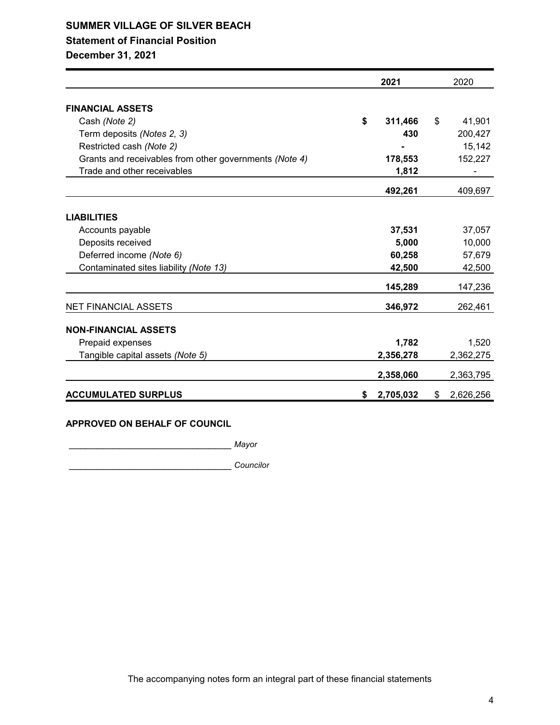# **SUMMER VILLAGE OF SILVER BEACH Statement of Financial Position**

**December 31, 2021**

|                                                        | 2021            | 2020            |
|--------------------------------------------------------|-----------------|-----------------|
| <b>FINANCIAL ASSETS</b>                                |                 |                 |
| Cash (Note 2)                                          | \$<br>311,466   | \$<br>41,901    |
| Term deposits (Notes 2, 3)                             | 430             | 200,427         |
| Restricted cash (Note 2)                               |                 | 15,142          |
| Grants and receivables from other governments (Note 4) | 178,553         | 152,227         |
| Trade and other receivables                            | 1,812           |                 |
|                                                        | 492,261         | 409,697         |
| <b>LIABILITIES</b>                                     |                 |                 |
| Accounts payable                                       | 37,531          | 37,057          |
| Deposits received                                      | 5,000           | 10,000          |
| Deferred income (Note 6)                               | 60,258          | 57,679          |
| Contaminated sites liability (Note 13)                 | 42,500          | 42,500          |
|                                                        | 145,289         | 147,236         |
| <b>NET FINANCIAL ASSETS</b>                            | 346,972         | 262,461         |
| <b>NON-FINANCIAL ASSETS</b>                            |                 |                 |
| Prepaid expenses                                       | 1,782           | 1,520           |
| Tangible capital assets (Note 5)                       | 2,356,278       | 2,362,275       |
|                                                        | 2,358,060       | 2,363,795       |
| <b>ACCUMULATED SURPLUS</b>                             | \$<br>2,705,032 | \$<br>2,626,256 |

#### **APPROVED ON BEHALF OF COUNCIL**

\_\_\_\_\_\_\_\_\_\_\_\_\_\_\_\_\_\_\_\_\_\_\_\_\_\_\_\_\_ *Mayor*

\_\_\_\_\_\_\_\_\_\_\_\_\_\_\_\_\_\_\_\_\_\_\_\_\_\_\_\_\_ *Councilor*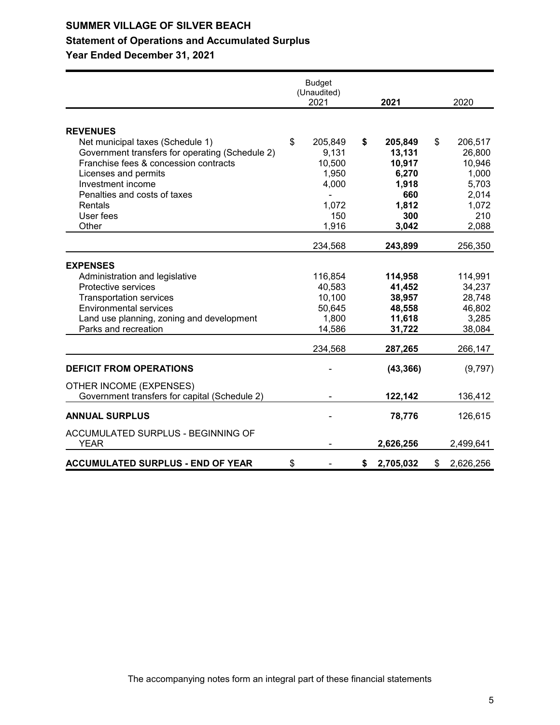# **Statement of Operations and Accumulated Surplus**

|                                                                                                                                                                                                                                         | <b>Budget</b><br>(Unaudited)<br>2021 |                                                          | 2021                                                                | 2020                                                                  |
|-----------------------------------------------------------------------------------------------------------------------------------------------------------------------------------------------------------------------------------------|--------------------------------------|----------------------------------------------------------|---------------------------------------------------------------------|-----------------------------------------------------------------------|
|                                                                                                                                                                                                                                         |                                      |                                                          |                                                                     |                                                                       |
| <b>REVENUES</b><br>Net municipal taxes (Schedule 1)<br>Government transfers for operating (Schedule 2)<br>Franchise fees & concession contracts<br>Licenses and permits<br>Investment income<br>Penalties and costs of taxes<br>Rentals | \$                                   | 205,849<br>9,131<br>10,500<br>1,950<br>4,000<br>1,072    | \$<br>205,849<br>13,131<br>10,917<br>6,270<br>1,918<br>660<br>1,812 | \$<br>206,517<br>26,800<br>10,946<br>1,000<br>5,703<br>2,014<br>1,072 |
| User fees<br>Other                                                                                                                                                                                                                      |                                      | 150<br>1,916                                             | 300<br>3,042                                                        | 210<br>2,088                                                          |
|                                                                                                                                                                                                                                         |                                      | 234,568                                                  | 243,899                                                             | 256,350                                                               |
| <b>EXPENSES</b>                                                                                                                                                                                                                         |                                      |                                                          |                                                                     |                                                                       |
| Administration and legislative<br>Protective services<br><b>Transportation services</b><br><b>Environmental services</b><br>Land use planning, zoning and development<br>Parks and recreation                                           |                                      | 116,854<br>40,583<br>10,100<br>50,645<br>1,800<br>14,586 | 114,958<br>41,452<br>38,957<br>48,558<br>11,618<br>31,722           | 114,991<br>34,237<br>28,748<br>46,802<br>3,285<br>38,084              |
|                                                                                                                                                                                                                                         |                                      | 234,568                                                  | 287,265                                                             | 266,147                                                               |
| <b>DEFICIT FROM OPERATIONS</b>                                                                                                                                                                                                          |                                      |                                                          | (43, 366)                                                           | (9,797)                                                               |
| OTHER INCOME (EXPENSES)<br>Government transfers for capital (Schedule 2)                                                                                                                                                                |                                      |                                                          | 122,142                                                             | 136,412                                                               |
| <b>ANNUAL SURPLUS</b>                                                                                                                                                                                                                   |                                      |                                                          | 78,776                                                              | 126,615                                                               |
| ACCUMULATED SURPLUS - BEGINNING OF<br>YEAR                                                                                                                                                                                              |                                      |                                                          | 2,626,256                                                           | 2,499,641                                                             |
| <b>ACCUMULATED SURPLUS - END OF YEAR</b>                                                                                                                                                                                                | \$                                   |                                                          | \$<br>2,705,032                                                     | \$<br>2,626,256                                                       |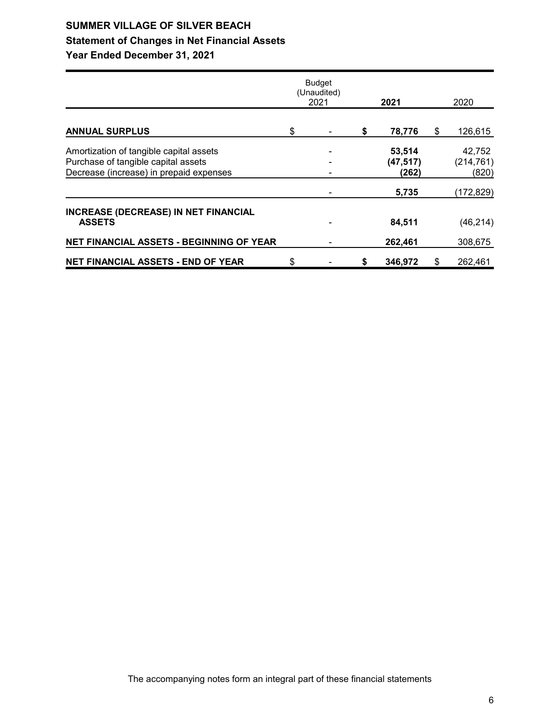# **SUMMER VILLAGE OF SILVER BEACH Statement of Changes in Net Financial Assets Year Ended December 31, 2021**

|                                             | <b>Budget</b><br>(Unaudited)<br>2021 | 2021          | 2020          |
|---------------------------------------------|--------------------------------------|---------------|---------------|
| <b>ANNUAL SURPLUS</b>                       | \$                                   | \$<br>78,776  | \$<br>126,615 |
| Amortization of tangible capital assets     |                                      | 53,514        | 42,752        |
| Purchase of tangible capital assets         |                                      | (47, 517)     | (214, 761)    |
| Decrease (increase) in prepaid expenses     |                                      | (262)         | (820)         |
|                                             |                                      | 5,735         | (172, 829)    |
| <b>INCREASE (DECREASE) IN NET FINANCIAL</b> |                                      |               |               |
| <b>ASSETS</b>                               |                                      | 84,511        | (46, 214)     |
| NET FINANCIAL ASSETS - BEGINNING OF YEAR    |                                      | 262,461       | 308,675       |
| <b>NET FINANCIAL ASSETS - END OF YEAR</b>   | \$                                   | \$<br>346,972 | \$<br>262,461 |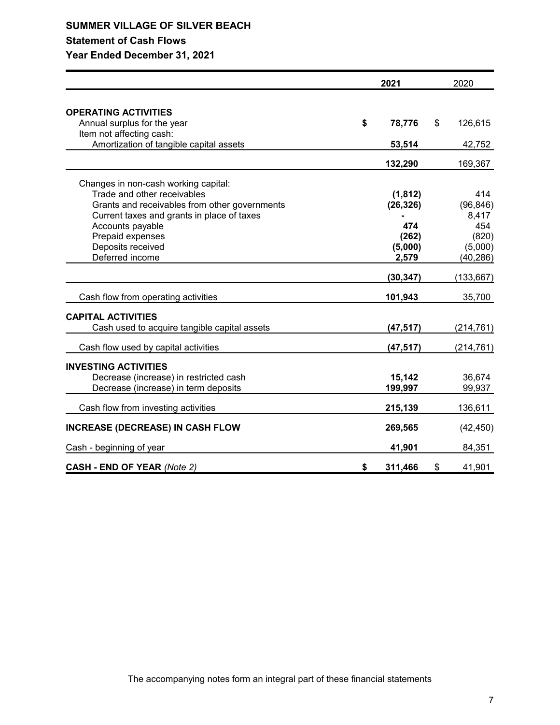### **Statement of Cash Flows**

|                                               | 2021          | 2020          |
|-----------------------------------------------|---------------|---------------|
|                                               |               |               |
| <b>OPERATING ACTIVITIES</b>                   |               |               |
| Annual surplus for the year                   | \$<br>78,776  | \$<br>126,615 |
| Item not affecting cash:                      |               |               |
| Amortization of tangible capital assets       | 53,514        | 42,752        |
|                                               | 132,290       | 169,367       |
| Changes in non-cash working capital:          |               |               |
| Trade and other receivables                   | (1, 812)      | 414           |
| Grants and receivables from other governments | (26, 326)     | (96, 846)     |
| Current taxes and grants in place of taxes    |               | 8,417         |
| Accounts payable                              | 474           | 454           |
| Prepaid expenses                              | (262)         | (820)         |
| Deposits received                             | (5,000)       | (5,000)       |
| Deferred income                               | 2,579         | (40, 286)     |
|                                               | (30, 347)     | (133, 667)    |
| Cash flow from operating activities           | 101,943       | 35,700        |
| <b>CAPITAL ACTIVITIES</b>                     |               |               |
| Cash used to acquire tangible capital assets  | (47, 517)     | (214, 761)    |
| Cash flow used by capital activities          | (47, 517)     | (214, 761)    |
| <b>INVESTING ACTIVITIES</b>                   |               |               |
| Decrease (increase) in restricted cash        | 15,142        | 36,674        |
| Decrease (increase) in term deposits          | 199,997       | 99,937        |
|                                               |               |               |
| Cash flow from investing activities           | 215,139       | 136,611       |
| <b>INCREASE (DECREASE) IN CASH FLOW</b>       | 269,565       | (42, 450)     |
| Cash - beginning of year                      | 41,901        | 84,351        |
| <b>CASH - END OF YEAR (Note 2)</b>            | \$<br>311,466 | \$<br>41,901  |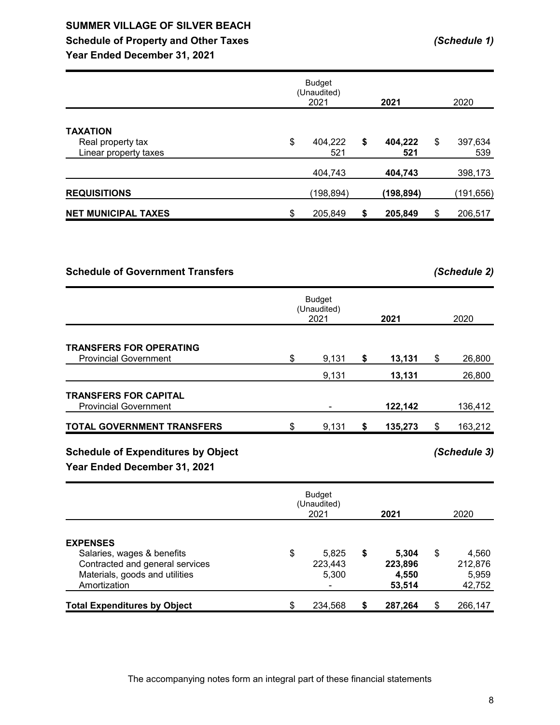# **SUMMER VILLAGE OF SILVER BEACH Schedule of Property and Other Taxes** *(Schedule 1)*

**Year Ended December 31, 2021**

|                                                               | <b>Budget</b><br>(Unaudited)<br>2021 | 2021                 | 2020                 |
|---------------------------------------------------------------|--------------------------------------|----------------------|----------------------|
| <b>TAXATION</b><br>Real property tax<br>Linear property taxes | \$<br>404,222<br>521                 | \$<br>404,222<br>521 | \$<br>397,634<br>539 |
|                                                               | 404,743                              | 404,743              | 398,173              |
| <b>REQUISITIONS</b>                                           | (198, 894)                           | (198,894)            | (191,656)            |
| <b>NET MUNICIPAL TAXES</b>                                    | \$<br>205,849                        | \$<br>205,849        | \$<br>206,517        |

### **Schedule of Government Transfers** *(Schedule 2)*

|                                                                | <b>Budget</b><br>(Unaudited)<br>2021 | 2021          | 2020          |
|----------------------------------------------------------------|--------------------------------------|---------------|---------------|
| <b>TRANSFERS FOR OPERATING</b><br><b>Provincial Government</b> | \$<br>9,131                          | \$<br>13,131  | \$<br>26,800  |
|                                                                | 9,131                                | 13,131        | 26,800        |
| <b>TRANSFERS FOR CAPITAL</b><br><b>Provincial Government</b>   |                                      | 122,142       | 136,412       |
| <b>TOTAL GOVERNMENT TRANSFERS</b>                              | \$<br>9,131                          | \$<br>135,273 | \$<br>163,212 |

# **Schedule of Expenditures by Object** *(Schedule 3)*

|                                                                                                                                    | <b>Budget</b><br>(Unaudited)<br>2021 |                           |    | 2021                                | 2020                                      |
|------------------------------------------------------------------------------------------------------------------------------------|--------------------------------------|---------------------------|----|-------------------------------------|-------------------------------------------|
| <b>EXPENSES</b><br>Salaries, wages & benefits<br>Contracted and general services<br>Materials, goods and utilities<br>Amortization | \$                                   | 5,825<br>223,443<br>5,300 | \$ | 5.304<br>223,896<br>4,550<br>53,514 | \$<br>4,560<br>212,876<br>5,959<br>42,752 |
| <b>Total Expenditures by Object</b>                                                                                                | \$                                   | 234,568                   | S  | 287,264                             | \$<br>266,147                             |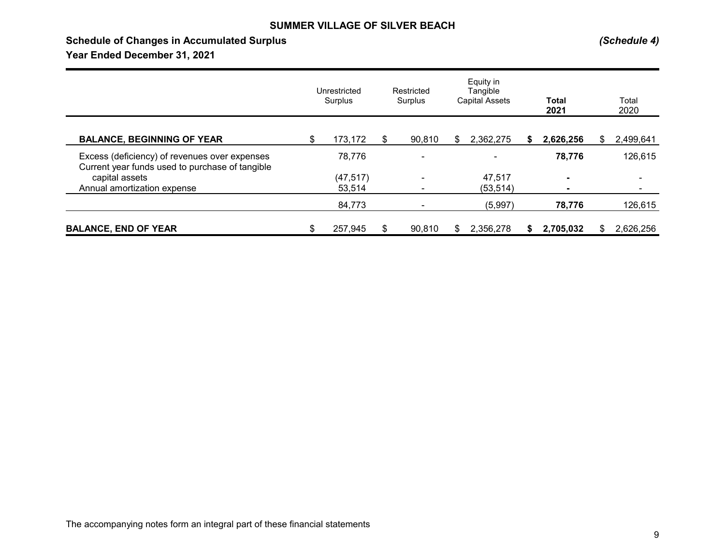### **Schedule of Changes in Accumulated Surplus** *(Schedule 4)*

|                                                                                                  | Unrestricted<br>Surplus |    | Equity in<br>Restricted<br>Tangible<br><b>Capital Assets</b><br>Surplus |     |           |   | <b>Total</b><br>2021 | Total<br>2020   |
|--------------------------------------------------------------------------------------------------|-------------------------|----|-------------------------------------------------------------------------|-----|-----------|---|----------------------|-----------------|
| <b>BALANCE, BEGINNING OF YEAR</b>                                                                | \$<br>173,172           | S  | 90,810                                                                  | S   | 2,362,275 | S | 2,626,256            | \$<br>2,499,641 |
| Excess (deficiency) of revenues over expenses<br>Current year funds used to purchase of tangible | 78,776                  |    |                                                                         |     |           |   | 78,776               | 126,615         |
| capital assets                                                                                   | (47, 517)               |    | $\overline{\phantom{0}}$                                                |     | 47,517    |   | $\blacksquare$       | ۰               |
| Annual amortization expense                                                                      | 53,514                  |    |                                                                         |     | (53, 514) |   | $\blacksquare$       | ٠               |
|                                                                                                  | 84,773                  |    |                                                                         |     | (5,997)   |   | 78,776               | 126,615         |
| <b>BALANCE, END OF YEAR</b>                                                                      | \$<br>257,945           | \$ | 90,810                                                                  | \$. | 2,356,278 | S | 2,705,032            | 2,626,256       |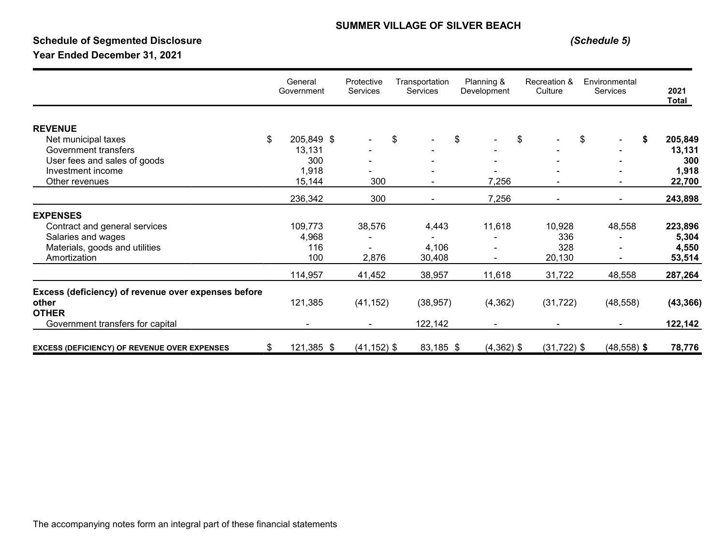# **Schedule of Segmented Disclosure** *(Schedule 5)*

|                                                     | General<br>Government | Protective<br><b>Services</b> | Transportation<br><b>Services</b> | Planning &<br>Development | Recreation &<br>Culture | Environmental<br>Services | 2021<br><b>Total</b> |
|-----------------------------------------------------|-----------------------|-------------------------------|-----------------------------------|---------------------------|-------------------------|---------------------------|----------------------|
| <b>REVENUE</b>                                      |                       |                               |                                   |                           |                         |                           |                      |
| Net municipal taxes                                 | \$<br>205,849 \$      |                               | \$                                | \$                        | \$                      | \$<br>\$                  | 205,849              |
| Government transfers                                | 13,131                |                               |                                   |                           |                         |                           | 13,131               |
| User fees and sales of goods                        | 300                   |                               |                                   |                           |                         |                           | 300                  |
| Investment income                                   | 1,918                 |                               |                                   |                           |                         |                           | 1,918                |
| Other revenues                                      | 15,144                | 300                           |                                   | 7,256                     |                         |                           | 22,700               |
|                                                     | 236,342               | 300                           |                                   | 7,256                     |                         |                           | 243,898              |
| <b>EXPENSES</b>                                     |                       |                               |                                   |                           |                         |                           |                      |
| Contract and general services                       | 109,773               | 38,576                        | 4,443                             | 11,618                    | 10,928                  | 48,558                    | 223,896              |
| Salaries and wages                                  | 4,968                 |                               |                                   |                           | 336                     |                           | 5,304                |
| Materials, goods and utilities                      | 116                   |                               | 4,106                             |                           | 328                     |                           | 4,550                |
| Amortization                                        | 100                   | 2,876                         | 30,408                            |                           | 20,130                  |                           | 53,514               |
|                                                     | 114,957               | 41,452                        | 38,957                            | 11,618                    | 31,722                  | 48,558                    | 287,264              |
| Excess (deficiency) of revenue over expenses before |                       |                               |                                   |                           |                         |                           |                      |
| other                                               | 121,385               | (41, 152)                     | (38, 957)                         | (4, 362)                  | (31, 722)               | (48, 558)                 | (43, 366)            |
| <b>OTHER</b>                                        |                       |                               |                                   |                           |                         |                           |                      |
| Government transfers for capital                    |                       |                               | 122,142                           |                           |                         |                           | 122,142              |
| <b>EXCESS (DEFICIENCY) OF REVENUE OVER EXPENSES</b> | \$<br>121,385 \$      | $(41, 152)$ \$                | 83,185 \$                         | $(4,362)$ \$              | $(31, 722)$ \$          | $(48, 558)$ \$            | 78,776               |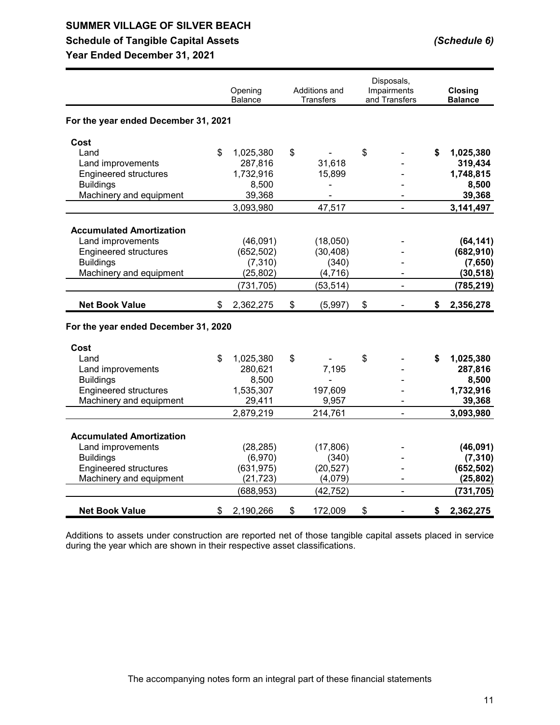# **Schedule of Tangible Capital Assets** *(Schedule 6)*

**Year Ended December 31, 2021**

|                                      | Opening         | Additions and | Disposals,<br>Impairments | <b>Closing</b>  |
|--------------------------------------|-----------------|---------------|---------------------------|-----------------|
|                                      | Balance         | Transfers     | and Transfers             | <b>Balance</b>  |
| For the year ended December 31, 2021 |                 |               |                           |                 |
| Cost                                 |                 |               |                           |                 |
| Land                                 | \$<br>1,025,380 | \$            | \$                        | \$<br>1,025,380 |
| Land improvements                    | 287,816         | 31,618        |                           | 319,434         |
| <b>Engineered structures</b>         | 1,732,916       | 15,899        |                           | 1,748,815       |
| <b>Buildings</b>                     | 8,500           | -             |                           | 8,500           |
| Machinery and equipment              | 39,368          |               |                           | 39,368          |
|                                      | 3,093,980       | 47,517        |                           | 3,141,497       |
| <b>Accumulated Amortization</b>      |                 |               |                           |                 |
| Land improvements                    | (46,091)        | (18,050)      |                           | (64, 141)       |
| <b>Engineered structures</b>         | (652, 502)      | (30, 408)     |                           | (682, 910)      |
| <b>Buildings</b>                     | (7, 310)        | (340)         |                           | (7,650)         |
| Machinery and equipment              | (25, 802)       | (4, 716)      |                           | (30, 518)       |
|                                      | (731, 705)      | (53, 514)     | ä,                        | (785, 219)      |
| <b>Net Book Value</b>                | \$<br>2,362,275 | \$<br>(5,997) | \$                        | \$<br>2,356,278 |
| For the year ended December 31, 2020 |                 |               |                           |                 |
| Cost                                 |                 |               |                           |                 |
| Land                                 | \$<br>1,025,380 | \$            | \$                        | \$<br>1,025,380 |
| Land improvements                    | 280,621         | 7,195         |                           | 287,816         |
| <b>Buildings</b>                     | 8,500           |               |                           | 8,500           |
| <b>Engineered structures</b>         | 1,535,307       | 197,609       |                           | 1,732,916       |
| Machinery and equipment              | 29,411          | 9,957         |                           | 39,368          |
|                                      | 2,879,219       | 214,761       | $\blacksquare$            | 3,093,980       |
| <b>Accumulated Amortization</b>      |                 |               |                           |                 |
| Land improvements                    | (28, 285)       | (17,806)      |                           | (46,091)        |
| <b>Buildings</b>                     | (6,970)         | (340)         |                           | (7, 310)        |
| <b>Engineered structures</b>         | (631, 975)      | (20, 527)     |                           | (652, 502)      |
| Machinery and equipment              | (21, 723)       | (4,079)       |                           | (25, 802)       |
|                                      | (688, 953)      | (42, 752)     |                           | (731, 705)      |
| <b>Net Book Value</b>                | \$<br>2,190,266 | \$<br>172,009 | \$                        | \$<br>2,362,275 |

Additions to assets under construction are reported net of those tangible capital assets placed in service during the year which are shown in their respective asset classifications.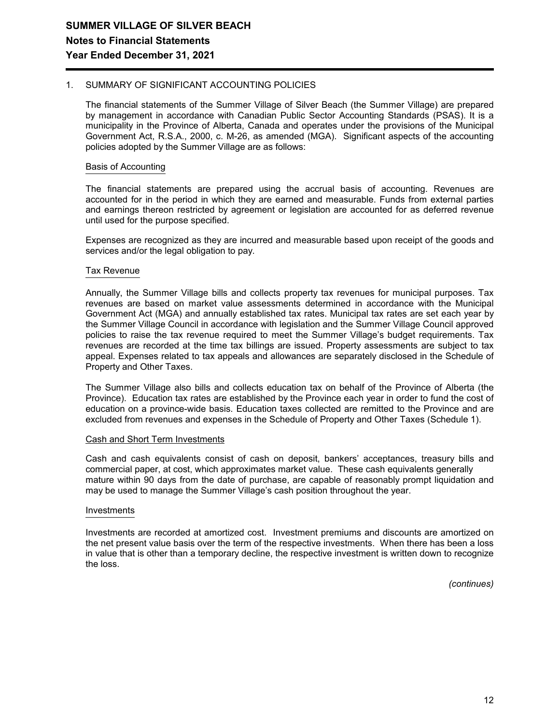#### 1. SUMMARY OF SIGNIFICANT ACCOUNTING POLICIES

The financial statements of the Summer Village of Silver Beach (the Summer Village) are prepared by management in accordance with Canadian Public Sector Accounting Standards (PSAS). It is a municipality in the Province of Alberta, Canada and operates under the provisions of the Municipal Government Act, R.S.A., 2000, c. M-26, as amended (MGA). Significant aspects of the accounting policies adopted by the Summer Village are as follows:

#### Basis of Accounting

The financial statements are prepared using the accrual basis of accounting. Revenues are accounted for in the period in which they are earned and measurable. Funds from external parties and earnings thereon restricted by agreement or legislation are accounted for as deferred revenue until used for the purpose specified.

Expenses are recognized as they are incurred and measurable based upon receipt of the goods and services and/or the legal obligation to pay.

#### Tax Revenue

Annually, the Summer Village bills and collects property tax revenues for municipal purposes. Tax revenues are based on market value assessments determined in accordance with the Municipal Government Act (MGA) and annually established tax rates. Municipal tax rates are set each year by the Summer Village Council in accordance with legislation and the Summer Village Council approved policies to raise the tax revenue required to meet the Summer Village's budget requirements. Tax revenues are recorded at the time tax billings are issued. Property assessments are subject to tax appeal. Expenses related to tax appeals and allowances are separately disclosed in the Schedule of Property and Other Taxes.

The Summer Village also bills and collects education tax on behalf of the Province of Alberta (the Province). Education tax rates are established by the Province each year in order to fund the cost of education on a province-wide basis. Education taxes collected are remitted to the Province and are excluded from revenues and expenses in the Schedule of Property and Other Taxes (Schedule 1).

#### Cash and Short Term Investments

Cash and cash equivalents consist of cash on deposit, bankers' acceptances, treasury bills and commercial paper, at cost, which approximates market value. These cash equivalents generally mature within 90 days from the date of purchase, are capable of reasonably prompt liquidation and may be used to manage the Summer Village's cash position throughout the year.

#### Investments

Investments are recorded at amortized cost. Investment premiums and discounts are amortized on the net present value basis over the term of the respective investments. When there has been a loss in value that is other than a temporary decline, the respective investment is written down to recognize the loss.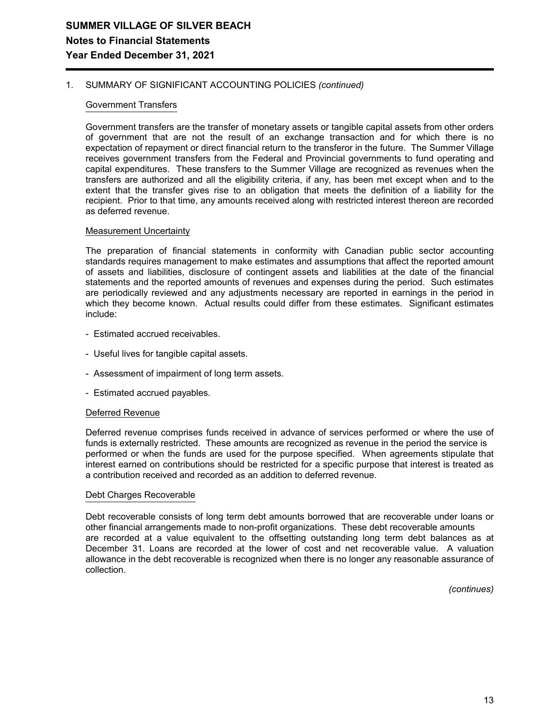#### 1. SUMMARY OF SIGNIFICANT ACCOUNTING POLICIES *(continued)*

#### Government Transfers

Government transfers are the transfer of monetary assets or tangible capital assets from other orders of government that are not the result of an exchange transaction and for which there is no expectation of repayment or direct financial return to the transferor in the future. The Summer Village receives government transfers from the Federal and Provincial governments to fund operating and capital expenditures. These transfers to the Summer Village are recognized as revenues when the transfers are authorized and all the eligibility criteria, if any, has been met except when and to the extent that the transfer gives rise to an obligation that meets the definition of a liability for the recipient. Prior to that time, any amounts received along with restricted interest thereon are recorded as deferred revenue.

#### Measurement Uncertainty

The preparation of financial statements in conformity with Canadian public sector accounting standards requires management to make estimates and assumptions that affect the reported amount of assets and liabilities, disclosure of contingent assets and liabilities at the date of the financial statements and the reported amounts of revenues and expenses during the period. Such estimates are periodically reviewed and any adjustments necessary are reported in earnings in the period in which they become known. Actual results could differ from these estimates. Significant estimates include:

- Estimated accrued receivables.
- Useful lives for tangible capital assets.
- Assessment of impairment of long term assets.
- Estimated accrued payables.

#### Deferred Revenue

Deferred revenue comprises funds received in advance of services performed or where the use of funds is externally restricted. These amounts are recognized as revenue in the period the service is performed or when the funds are used for the purpose specified. When agreements stipulate that interest earned on contributions should be restricted for a specific purpose that interest is treated as a contribution received and recorded as an addition to deferred revenue.

#### Debt Charges Recoverable

Debt recoverable consists of long term debt amounts borrowed that are recoverable under loans or other financial arrangements made to non-profit organizations. These debt recoverable amounts are recorded at a value equivalent to the offsetting outstanding long term debt balances as at December 31. Loans are recorded at the lower of cost and net recoverable value. A valuation allowance in the debt recoverable is recognized when there is no longer any reasonable assurance of collection.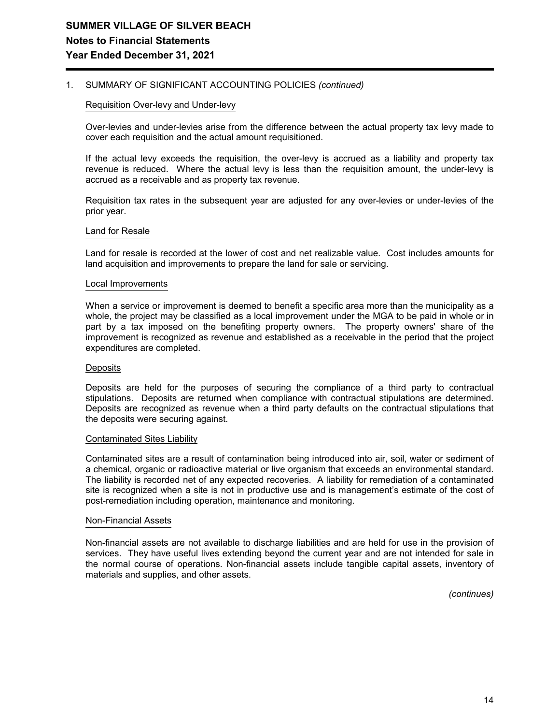#### 1. SUMMARY OF SIGNIFICANT ACCOUNTING POLICIES *(continued)*

#### Requisition Over-levy and Under-levy

Over-levies and under-levies arise from the difference between the actual property tax levy made to cover each requisition and the actual amount requisitioned.

If the actual levy exceeds the requisition, the over-levy is accrued as a liability and property tax revenue is reduced. Where the actual levy is less than the requisition amount, the under-levy is accrued as a receivable and as property tax revenue.

Requisition tax rates in the subsequent year are adjusted for any over-levies or under-levies of the prior year.

#### Land for Resale

Land for resale is recorded at the lower of cost and net realizable value. Cost includes amounts for land acquisition and improvements to prepare the land for sale or servicing.

#### Local Improvements

When a service or improvement is deemed to benefit a specific area more than the municipality as a whole, the project may be classified as a local improvement under the MGA to be paid in whole or in part by a tax imposed on the benefiting property owners. The property owners' share of the improvement is recognized as revenue and established as a receivable in the period that the project expenditures are completed.

#### **Deposits**

Deposits are held for the purposes of securing the compliance of a third party to contractual stipulations. Deposits are returned when compliance with contractual stipulations are determined. Deposits are recognized as revenue when a third party defaults on the contractual stipulations that the deposits were securing against.

#### Contaminated Sites Liability

Contaminated sites are a result of contamination being introduced into air, soil, water or sediment of a chemical, organic or radioactive material or live organism that exceeds an environmental standard. The liability is recorded net of any expected recoveries. A liability for remediation of a contaminated site is recognized when a site is not in productive use and is management's estimate of the cost of post-remediation including operation, maintenance and monitoring.

#### Non-Financial Assets

Non-financial assets are not available to discharge liabilities and are held for use in the provision of services. They have useful lives extending beyond the current year and are not intended for sale in the normal course of operations. Non-financial assets include tangible capital assets, inventory of materials and supplies, and other assets.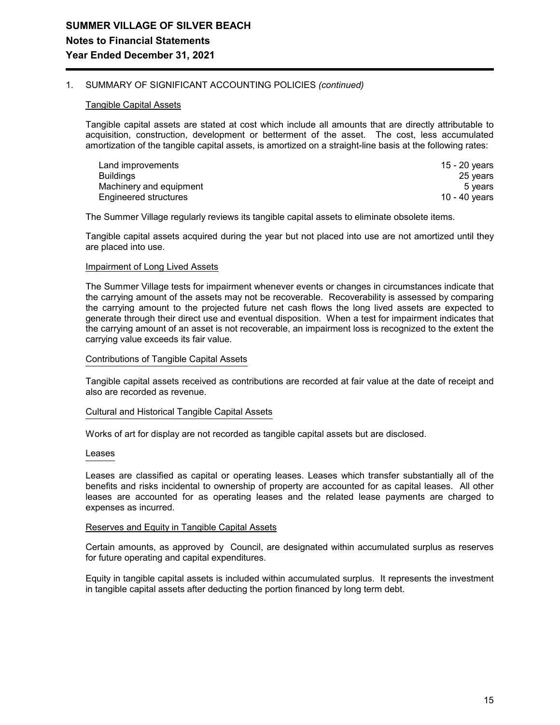#### 1. SUMMARY OF SIGNIFICANT ACCOUNTING POLICIES *(continued)*

#### Tangible Capital Assets

Tangible capital assets are stated at cost which include all amounts that are directly attributable to acquisition, construction, development or betterment of the asset. The cost, less accumulated amortization of the tangible capital assets, is amortized on a straight-line basis at the following rates:

| Land improvements       | 15 - 20 vears |
|-------------------------|---------------|
| <b>Buildings</b>        | 25 years      |
| Machinery and equipment | 5 vears       |
| Engineered structures   | 10 - 40 vears |

The Summer Village regularly reviews its tangible capital assets to eliminate obsolete items.

Tangible capital assets acquired during the year but not placed into use are not amortized until they are placed into use.

#### **Impairment of Long Lived Assets**

The Summer Village tests for impairment whenever events or changes in circumstances indicate that the carrying amount of the assets may not be recoverable. Recoverability is assessed by comparing the carrying amount to the projected future net cash flows the long lived assets are expected to generate through their direct use and eventual disposition. When a test for impairment indicates that the carrying amount of an asset is not recoverable, an impairment loss is recognized to the extent the carrying value exceeds its fair value.

#### Contributions of Tangible Capital Assets

Tangible capital assets received as contributions are recorded at fair value at the date of receipt and also are recorded as revenue.

#### Cultural and Historical Tangible Capital Assets

Works of art for display are not recorded as tangible capital assets but are disclosed.

#### Leases

Leases are classified as capital or operating leases. Leases which transfer substantially all of the benefits and risks incidental to ownership of property are accounted for as capital leases. All other leases are accounted for as operating leases and the related lease payments are charged to expenses as incurred.

#### Reserves and Equity in Tangible Capital Assets

Certain amounts, as approved by Council, are designated within accumulated surplus as reserves for future operating and capital expenditures.

Equity in tangible capital assets is included within accumulated surplus. It represents the investment in tangible capital assets after deducting the portion financed by long term debt.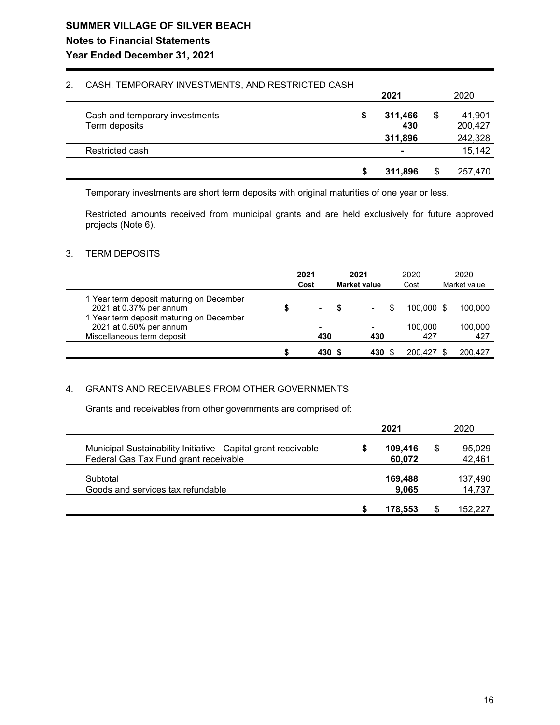# **SUMMER VILLAGE OF SILVER BEACH Notes to Financial Statements**

### **Year Ended December 31, 2021**

#### 2. CASH, TEMPORARY INVESTMENTS, AND RESTRICTED CASH

|                                                 |   | 2021           |    | 2020              |
|-------------------------------------------------|---|----------------|----|-------------------|
| Cash and temporary investments<br>Term deposits | S | 311,466<br>430 | \$ | 41,901<br>200,427 |
|                                                 |   | 311,896        |    | 242,328           |
| Restricted cash                                 |   | $\blacksquare$ |    | 15,142            |
|                                                 | S | 311.896        | S  | 257,470           |

Temporary investments are short term deposits with original maturities of one year or less.

Restricted amounts received from municipal grants and are held exclusively for future approved projects (Note 6).

#### 3. TERM DEPOSITS

|                                                                                                                 | 2021<br>Cost   | 2021<br><b>Market value</b> | 2020<br>Cost   | 2020<br>Market value |
|-----------------------------------------------------------------------------------------------------------------|----------------|-----------------------------|----------------|----------------------|
| 1 Year term deposit maturing on December<br>2021 at 0.37% per annum<br>1 Year term deposit maturing on December | $\blacksquare$ | $\blacksquare$              | 100.000 \$     | 100.000              |
| 2021 at 0.50% per annum<br>Miscellaneous term deposit                                                           | ۰<br>430       | ۰<br>430                    | 100.000<br>427 | 100.000<br>427       |
|                                                                                                                 | 430 S          | 430 \$                      | 200.427        | 200.427              |

#### 4. GRANTS AND RECEIVABLES FROM OTHER GOVERNMENTS

Grants and receivables from other governments are comprised of:

|                                                                                                         | 2021 |                   |   | 2020              |
|---------------------------------------------------------------------------------------------------------|------|-------------------|---|-------------------|
| Municipal Sustainability Initiative - Capital grant receivable<br>Federal Gas Tax Fund grant receivable |      | 109.416<br>60,072 | S | 95,029<br>42,461  |
| Subtotal<br>Goods and services tax refundable                                                           |      | 169,488<br>9,065  |   | 137,490<br>14,737 |
|                                                                                                         |      | 178.553           |   | 152,227           |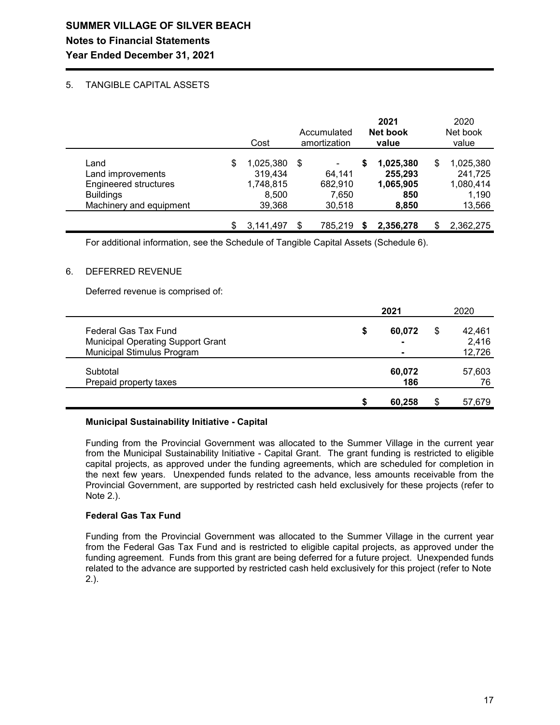# **SUMMER VILLAGE OF SILVER BEACH Notes to Financial Statements Year Ended December 31, 2021**

#### 5. TANGIBLE CAPITAL ASSETS

|                                                                                                          | Cost                                                       |     | Accumulated<br>amortization                            | 2021<br>Net book<br>value                               | 2020<br>Net book<br>value                                  |
|----------------------------------------------------------------------------------------------------------|------------------------------------------------------------|-----|--------------------------------------------------------|---------------------------------------------------------|------------------------------------------------------------|
| Land<br>Land improvements<br><b>Engineered structures</b><br><b>Buildings</b><br>Machinery and equipment | \$<br>1,025,380<br>319,434<br>1,748,815<br>8,500<br>39,368 | \$  | $\blacksquare$<br>64,141<br>682,910<br>7,650<br>30,518 | \$<br>1,025,380<br>255,293<br>1,065,905<br>850<br>8,850 | \$<br>1,025,380<br>241,725<br>1,080,414<br>1,190<br>13,566 |
|                                                                                                          | 3,141,497                                                  | \$. | 785.219                                                | 2,356,278                                               | 2,362,275                                                  |

For additional information, see the Schedule of Tangible Capital Assets (Schedule 6).

#### 6. DEFERRED REVENUE

Deferred revenue is comprised of:

|                                                                        |   | 2021   |    | 2020            |
|------------------------------------------------------------------------|---|--------|----|-----------------|
| Federal Gas Tax Fund                                                   | S | 60.072 | S  | 42.461          |
| <b>Municipal Operating Support Grant</b><br>Municipal Stimulus Program |   |        |    | 2,416<br>12,726 |
| Subtotal                                                               |   | 60,072 |    | 57,603          |
| Prepaid property taxes                                                 |   | 186    |    | 76              |
|                                                                        |   | 60,258 | \$ | 57,679          |

#### **Municipal Sustainability Initiative - Capital**

Funding from the Provincial Government was allocated to the Summer Village in the current year from the Municipal Sustainability Initiative - Capital Grant. The grant funding is restricted to eligible capital projects, as approved under the funding agreements, which are scheduled for completion in the next few years. Unexpended funds related to the advance, less amounts receivable from the Provincial Government, are supported by restricted cash held exclusively for these projects (refer to Note 2.).

#### **Federal Gas Tax Fund**

Funding from the Provincial Government was allocated to the Summer Village in the current year from the Federal Gas Tax Fund and is restricted to eligible capital projects, as approved under the funding agreement. Funds from this grant are being deferred for a future project. Unexpended funds related to the advance are supported by restricted cash held exclusively for this project (refer to Note 2.).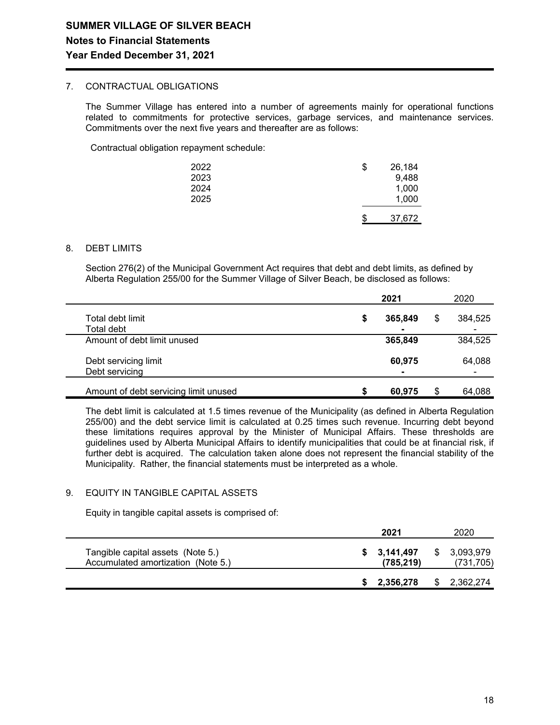#### 7. CONTRACTUAL OBLIGATIONS

The Summer Village has entered into a number of agreements mainly for operational functions related to commitments for protective services, garbage services, and maintenance services. Commitments over the next five years and thereafter are as follows:

Contractual obligation repayment schedule:

| 2022<br>2023<br>2024<br>2025 | \$<br>26,184<br>9,488<br>1,000<br>1,000 |
|------------------------------|-----------------------------------------|
|                              | \$<br>37,672                            |

#### 8. DEBT LIMITS

Section 276(2) of the Municipal Government Act requires that debt and debt limits, as defined by Alberta Regulation 255/00 for the Summer Village of Silver Beach, be disclosed as follows:

|                                        |   | 2021    | 2020 |              |  |
|----------------------------------------|---|---------|------|--------------|--|
| Total debt limit<br>Total debt         | S | 365,849 | \$   | 384,525<br>- |  |
| Amount of debt limit unused            |   | 365,849 |      | 384,525      |  |
| Debt servicing limit<br>Debt servicing |   | 60,975  |      | 64,088       |  |
| Amount of debt servicing limit unused  |   | 60,975  | \$   | 64,088       |  |

The debt limit is calculated at 1.5 times revenue of the Municipality (as defined in Alberta Regulation 255/00) and the debt service limit is calculated at 0.25 times such revenue. Incurring debt beyond these limitations requires approval by the Minister of Municipal Affairs. These thresholds are guidelines used by Alberta Municipal Affairs to identify municipalities that could be at financial risk, if further debt is acquired. The calculation taken alone does not represent the financial stability of the Municipality. Rather, the financial statements must be interpreted as a whole.

#### 9. EQUITY IN TANGIBLE CAPITAL ASSETS

Equity in tangible capital assets is comprised of:

|                                                                         | 2021                    | 2020                    |
|-------------------------------------------------------------------------|-------------------------|-------------------------|
| Tangible capital assets (Note 5.)<br>Accumulated amortization (Note 5.) | 3,141,497<br>(785, 219) | 3,093,979<br>(731, 705) |
|                                                                         | 2,356,278               | 2,362,274               |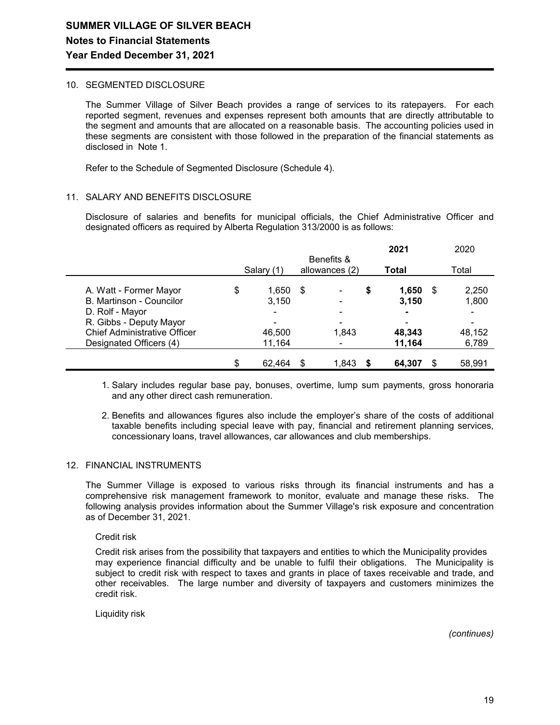#### 10. SEGMENTED DISCLOSURE

The Summer Village of Silver Beach provides a range of services to its ratepayers. For each reported segment, revenues and expenses represent both amounts that are directly attributable to the segment and amounts that are allocated on a reasonable basis. The accounting policies used in these segments are consistent with those followed in the preparation of the financial statements as disclosed in Note 1.

Refer to the Schedule of Segmented Disclosure (Schedule 4).

#### 11. SALARY AND BENEFITS DISCLOSURE

Disclosure of salaries and benefits for municipal officials, the Chief Administrative Officer and designated officers as required by Alberta Regulation 313/2000 is as follows:

|                                     |    |                          |      |                         |    | 2021   | 2020         |
|-------------------------------------|----|--------------------------|------|-------------------------|----|--------|--------------|
|                                     |    | Benefits &<br>Salary (1) |      | allowances (2)<br>Total |    |        | Total        |
| A. Watt - Former Mayor              | \$ | 1,650                    | - \$ |                         | \$ | 1,650  | \$<br>2,250  |
| B. Martinson - Councilor            |    | 3,150                    |      |                         |    | 3,150  | 1,800        |
| D. Rolf - Mayor                     |    | ۰                        |      |                         |    | ۰.     |              |
| R. Gibbs - Deputy Mayor             |    | ۰                        |      |                         |    |        |              |
| <b>Chief Administrative Officer</b> |    | 46,500                   |      | 1,843                   |    | 48,343 | 48,152       |
| Designated Officers (4)             |    | 11,164                   |      |                         |    | 11,164 | 6,789        |
|                                     |    | 62,464                   | S    | 1,843                   |    | 64,307 | \$<br>58,991 |

 1. Salary includes regular base pay, bonuses, overtime, lump sum payments, gross honoraria and any other direct cash remuneration.

 2. Benefits and allowances figures also include the employer's share of the costs of additional taxable benefits including special leave with pay, financial and retirement planning services, concessionary loans, travel allowances, car allowances and club memberships.

#### 12. FINANCIAL INSTRUMENTS

The Summer Village is exposed to various risks through its financial instruments and has a comprehensive risk management framework to monitor, evaluate and manage these risks. The following analysis provides information about the Summer Village's risk exposure and concentration as of December 31, 2021.

Credit risk

Credit risk arises from the possibility that taxpayers and entities to which the Municipality provides may experience financial difficulty and be unable to fulfil their obligations. The Municipality is subject to credit risk with respect to taxes and grants in place of taxes receivable and trade, and other receivables. The large number and diversity of taxpayers and customers minimizes the credit risk.

Liquidity risk